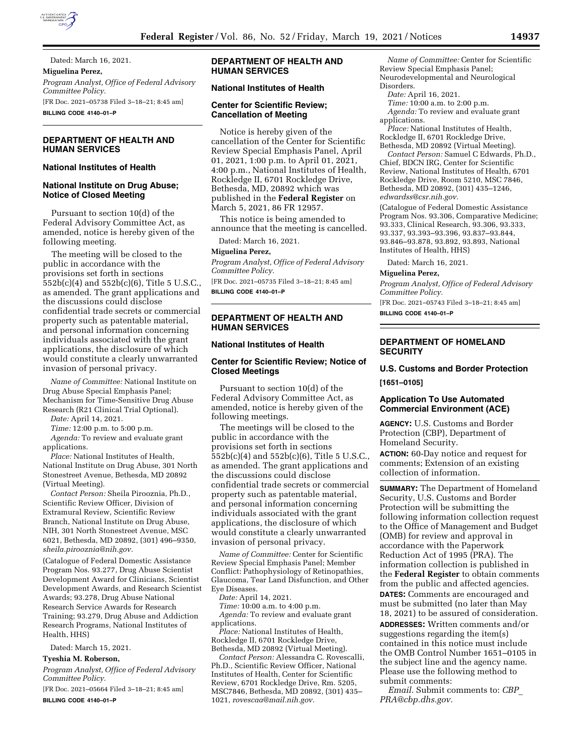

Dated: March 16, 2021. **Miguelina Perez,**  *Program Analyst, Office of Federal Advisory Committee Policy.*  [FR Doc. 2021–05738 Filed 3–18–21; 8:45 am]

**BILLING CODE 4140–01–P** 

### **DEPARTMENT OF HEALTH AND HUMAN SERVICES**

# **National Institutes of Health**

#### **National Institute on Drug Abuse; Notice of Closed Meeting**

Pursuant to section 10(d) of the Federal Advisory Committee Act, as amended, notice is hereby given of the following meeting.

The meeting will be closed to the public in accordance with the provisions set forth in sections 552b(c)(4) and 552b(c)(6), Title 5 U.S.C., as amended. The grant applications and the discussions could disclose confidential trade secrets or commercial property such as patentable material, and personal information concerning individuals associated with the grant applications, the disclosure of which would constitute a clearly unwarranted invasion of personal privacy.

*Name of Committee:* National Institute on Drug Abuse Special Emphasis Panel; Mechanism for Time-Sensitive Drug Abuse Research (R21 Clinical Trial Optional).

*Date:* April 14, 2021.

*Time:* 12:00 p.m. to 5:00 p.m.

*Agenda:* To review and evaluate grant applications.

*Place:* National Institutes of Health, National Institute on Drug Abuse, 301 North Stonestreet Avenue, Bethesda, MD 20892 (Virtual Meeting).

*Contact Person:* Sheila Pirooznia, Ph.D., Scientific Review Officer, Division of Extramural Review, Scientific Review Branch, National Institute on Drug Abuse, NIH, 301 North Stonestreet Avenue, MSC 6021, Bethesda, MD 20892, (301) 496–9350, *[sheila.pirooznia@nih.gov.](mailto:sheila.pirooznia@nih.gov)* 

(Catalogue of Federal Domestic Assistance Program Nos. 93.277, Drug Abuse Scientist Development Award for Clinicians, Scientist Development Awards, and Research Scientist Awards; 93.278, Drug Abuse National Research Service Awards for Research Training; 93.279, Drug Abuse and Addiction Research Programs, National Institutes of Health, HHS)

Dated: March 15, 2021.

# **Tyeshia M. Roberson,**

*Program Analyst, Office of Federal Advisory Committee Policy.* 

[FR Doc. 2021–05664 Filed 3–18–21; 8:45 am] **BILLING CODE 4140–01–P** 

# **DEPARTMENT OF HEALTH AND HUMAN SERVICES**

### **National Institutes of Health**

### **Center for Scientific Review; Cancellation of Meeting**

Notice is hereby given of the cancellation of the Center for Scientific Review Special Emphasis Panel, April 01, 2021, 1:00 p.m. to April 01, 2021, 4:00 p.m., National Institutes of Health, Rockledge II, 6701 Rockledge Drive, Bethesda, MD, 20892 which was published in the **Federal Register** on March 5, 2021, 86 FR 12957.

This notice is being amended to announce that the meeting is cancelled. Dated: March 16, 2021.

#### **Miguelina Perez,**

*Program Analyst, Office of Federal Advisory Committee Policy.* 

[FR Doc. 2021–05735 Filed 3–18–21; 8:45 am] **BILLING CODE 4140–01–P** 

# **DEPARTMENT OF HEALTH AND HUMAN SERVICES**

#### **National Institutes of Health**

### **Center for Scientific Review; Notice of Closed Meetings**

Pursuant to section 10(d) of the Federal Advisory Committee Act, as amended, notice is hereby given of the following meetings.

The meetings will be closed to the public in accordance with the provisions set forth in sections 552b(c)(4) and 552b(c)(6), Title 5 U.S.C., as amended. The grant applications and the discussions could disclose confidential trade secrets or commercial property such as patentable material, and personal information concerning individuals associated with the grant applications, the disclosure of which would constitute a clearly unwarranted invasion of personal privacy.

*Name of Committee:* Center for Scientific Review Special Emphasis Panel; Member Conflict: Pathophysiology of Retinopathies, Glaucoma, Tear Land Disfunction, and Other Eye Diseases.

*Date:* April 14, 2021.

*Time:* 10:00 a.m. to 4:00 p.m. *Agenda:* To review and evaluate grant applications.

*Place:* National Institutes of Health, Rockledge II, 6701 Rockledge Drive, Bethesda, MD 20892 (Virtual Meeting).

*Contact Person:* Alessandra C. Rovescalli, Ph.D., Scientific Review Officer, National Institutes of Health, Center for Scientific Review, 6701 Rockledge Drive, Rm. 5205, MSC7846, Bethesda, MD 20892, (301) 435– 1021, *[rovescaa@mail.nih.gov.](mailto:rovescaa@mail.nih.gov)* 

*Name of Committee:* Center for Scientific Review Special Emphasis Panel; Neurodevelopmental and Neurological Disorders.

*Date:* April 16, 2021.

*Time:* 10:00 a.m. to 2:00 p.m.

*Agenda:* To review and evaluate grant applications.

*Place:* National Institutes of Health, Rockledge II, 6701 Rockledge Drive, Bethesda, MD 20892 (Virtual Meeting).

*Contact Person:* Samuel C Edwards, Ph.D., Chief, BDCN IRG, Center for Scientific Review, National Institutes of Health, 6701 Rockledge Drive, Room 5210, MSC 7846, Bethesda, MD 20892, (301) 435–1246, *[edwardss@csr.nih.gov.](mailto:edwardss@csr.nih.gov)* 

(Catalogue of Federal Domestic Assistance Program Nos. 93.306, Comparative Medicine; 93.333, Clinical Research, 93.306, 93.333, 93.337, 93.393–93.396, 93.837–93.844, 93.846–93.878, 93.892, 93.893, National Institutes of Health, HHS)

Dated: March 16, 2021.

#### **Miguelina Perez,**

*Program Analyst, Office of Federal Advisory Committee Policy.* 

[FR Doc. 2021–05743 Filed 3–18–21; 8:45 am]

**BILLING CODE 4140–01–P** 

#### **DEPARTMENT OF HOMELAND SECURITY**

# **U.S. Customs and Border Protection [1651–0105]**

### **Application To Use Automated Commercial Environment (ACE)**

**AGENCY:** U.S. Customs and Border Protection (CBP), Department of Homeland Security.

**ACTION:** 60-Day notice and request for comments; Extension of an existing collection of information.

**SUMMARY:** The Department of Homeland Security, U.S. Customs and Border Protection will be submitting the following information collection request to the Office of Management and Budget (OMB) for review and approval in accordance with the Paperwork Reduction Act of 1995 (PRA). The information collection is published in the **Federal Register** to obtain comments from the public and affected agencies.

**DATES:** Comments are encouraged and must be submitted (no later than May 18, 2021) to be assured of consideration. **ADDRESSES:** Written comments and/or

suggestions regarding the item(s) contained in this notice must include the OMB Control Number 1651–0105 in the subject line and the agency name. Please use the following method to submit comments:

*Email.* Submit comments to: *[CBP](mailto:CBP_PRA@cbp.dhs.gov)*\_ *[PRA@cbp.dhs.gov.](mailto:CBP_PRA@cbp.dhs.gov)*